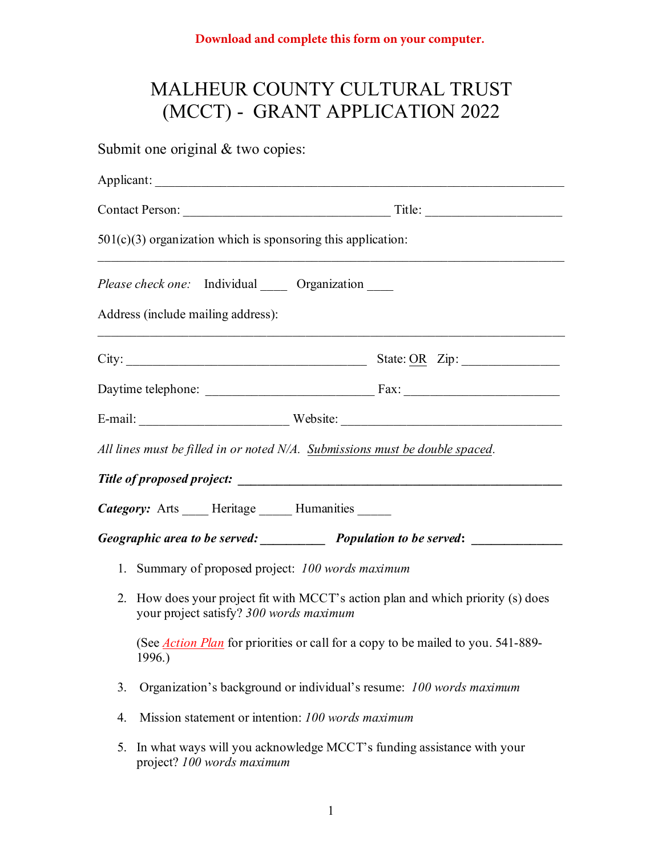## MALHEUR COUNTY CULTURAL TRUST (MCCT) - GRANT APPLICATION 2022

Submit one original  $&$  two copies: Applicant: Contact Person: Title:  $501(c)(3)$  organization which is sponsoring this application: \_\_\_\_\_\_\_\_\_\_\_\_\_\_\_\_\_\_\_\_\_\_\_\_\_\_\_\_\_\_\_\_\_\_\_\_\_\_\_\_\_\_\_\_\_\_\_\_\_\_\_\_\_\_\_\_\_\_\_\_\_\_\_\_\_\_\_\_\_\_\_\_ *Please check one:* Individual Organization Address (include mailing address): \_\_\_\_\_\_\_\_\_\_\_\_\_\_\_\_\_\_\_\_\_\_\_\_\_\_\_\_\_\_\_\_\_\_\_\_\_\_\_\_\_\_\_\_\_\_\_\_\_\_\_\_\_\_\_\_\_\_\_\_\_\_\_\_\_\_\_\_\_\_\_\_  $City:$   $\qquad \qquad$  State: OR  $\qquad$  Zip: Daytime telephone: \_\_\_\_\_\_\_\_\_\_\_\_\_\_\_\_\_\_\_\_\_\_\_\_\_\_ Fax: \_\_\_\_\_\_\_\_\_\_\_\_\_\_\_\_\_\_\_\_\_\_\_\_ E-mail: Website: *All lines must be filled in or noted N/A. Submissions must be double spaced. Title of proposed project: \_\_\_\_\_\_\_\_\_\_\_\_\_\_\_\_\_\_\_\_\_\_\_\_\_\_\_\_\_\_\_\_\_\_\_\_\_\_\_\_\_\_\_\_\_\_\_\_\_\_*  **Category:** Arts Heritage Humanities *Geographic area to be served: \_\_\_\_\_\_\_\_\_\_ Population to be served***: \_\_\_\_\_\_\_\_\_\_\_\_\_\_**  1. Summary of proposed project: *100 words maximum* 2. How does your project fit with MCCT's action plan and which priority (s) does your project satisfy? *300 words maximum* (See *Action Plan* for priorities or call for a copy to be mailed to you. 541-889- 1996.) 3. Organization's background or individual's resume: *100 words maximum* 4. Mission statement or intention: *100 words maximum* 5. In what ways will you acknowledge MCCT's funding assistance with your project? *100 words maximum*